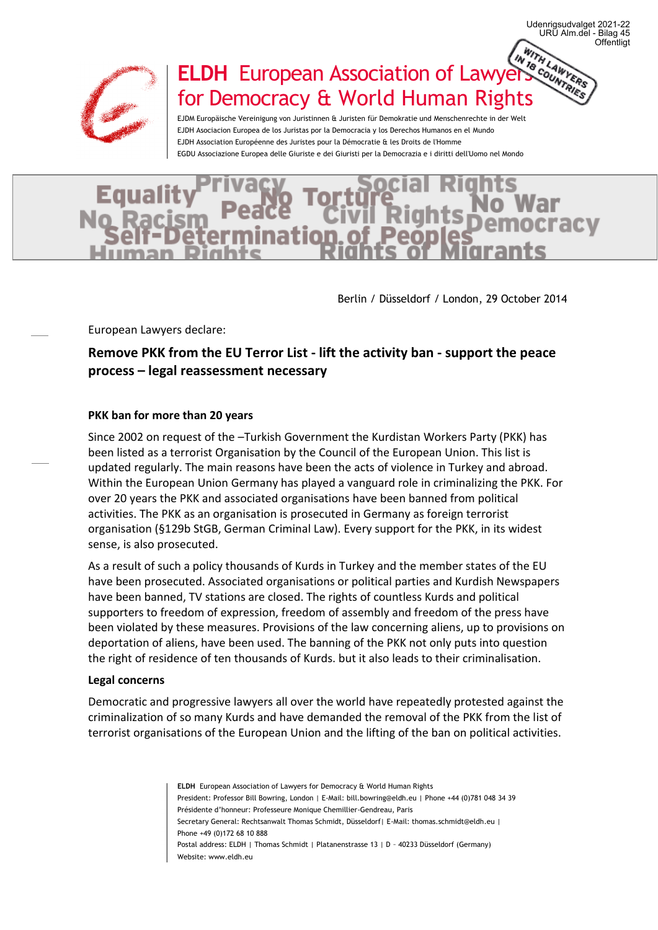

# **ELDH** European Association of Lawyers Counter for Democracy & World Human Rights

EJDM Europäische Vereinigung von Juristinnen & Juristen für Demokratie und Menschenrechte in der Welt EJDH Asociacion Europea de los Juristas por la Democracia y los Derechos Humanos en el Mundo EJDH Association Européenne des Juristes pour la Démocratie & les Droits de l'Homme EGDU Associazione Europea delle Giuriste e dei Giuristi per la Democrazia e i diritti dell'Uomo nel Mondo



Berlin / Düsseldorf / London, 29 October 2014

**Offentligt** 

URU Alm.del - Bilag 45 Udenrigsudvalget 2021-22

European Lawyers declare:

## **Remove PKK from the EU Terror List - lift the activity ban - support the peace process – legal reassessment necessary**

#### **PKK ban for more than 20 years**

Since 2002 on request of the –Turkish Government the Kurdistan Workers Party (PKK) has been listed as a terrorist Organisation by the Council of the European Union. This list is updated regularly. The main reasons have been the acts of violence in Turkey and abroad. Within the European Union Germany has played a vanguard role in criminalizing the PKK. For over 20 years the PKK and associated organisations have been banned from political activities. The PKK as an organisation is prosecuted in Germany as foreign terrorist organisation (§129b StGB, German Criminal Law). Every support for the PKK, in its widest sense, is also prosecuted.

As a result of such a policy thousands of Kurds in Turkey and the member states of the EU have been prosecuted. Associated organisations or political parties and Kurdish Newspapers have been banned, TV stations are closed. The rights of countless Kurds and political supporters to freedom of expression, freedom of assembly and freedom of the press have been violated by these measures. Provisions of the law concerning aliens, up to provisions on deportation of aliens, have been used. The banning of the PKK not only puts into question the right of residence of ten thousands of Kurds. but it also leads to their criminalisation.

#### **Legal concerns**

Democratic and progressive lawyers all over the world have repeatedly protested against the criminalization of so many Kurds and have demanded the removal of the PKK from the list of terrorist organisations of the European Union and the lifting of the ban on political activities.

> **ELDH** European Association of Lawyers for Democracy & World Human Rights President: Professor Bill Bowring, London | E-Mail: bill.bowring@eldh.eu | Phone +44 (0)781 048 34 39 Présidente d'honneur: Professeure Monique Chemillier-Gendreau, Paris Secretary General: Rechtsanwalt Thomas Schmidt, Düsseldorf| E-Mail: thomas.schmidt@eldh.eu | Phone +49 (0)172 68 10 888 Postal address: ELDH | Thomas Schmidt | Platanenstrasse 13 | D – 40233 Düsseldorf (Germany) Website: www.eldh.eu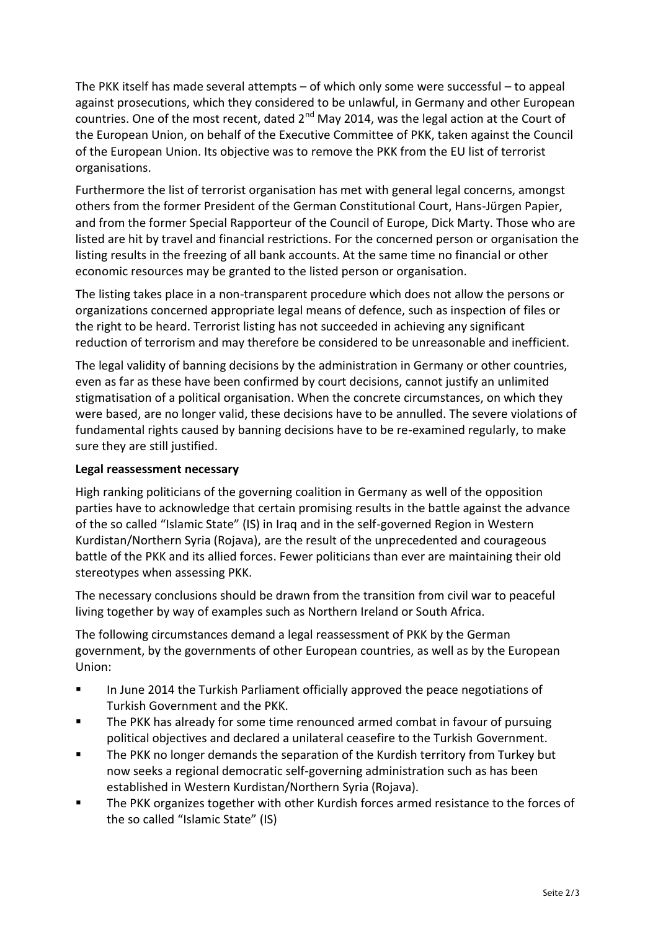The PKK itself has made several attempts – of which only some were successful – to appeal against prosecutions, which they considered to be unlawful, in Germany and other European countries. One of the most recent, dated 2<sup>nd</sup> May 2014, was the legal action at the Court of the European Union, on behalf of the Executive Committee of PKK, taken against the Council of the European Union. Its objective was to remove the PKK from the EU list of terrorist organisations.

Furthermore the list of terrorist organisation has met with general legal concerns, amongst others from the former President of the German Constitutional Court, Hans-Jürgen Papier, and from the former Special Rapporteur of the Council of Europe, Dick Marty. Those who are listed are hit by travel and financial restrictions. For the concerned person or organisation the listing results in the freezing of all bank accounts. At the same time no financial or other economic resources may be granted to the listed person or organisation.

The listing takes place in a non-transparent procedure which does not allow the persons or organizations concerned appropriate legal means of defence, such as inspection of files or the right to be heard. Terrorist listing has not succeeded in achieving any significant reduction of terrorism and may therefore be considered to be unreasonable and inefficient.

The legal validity of banning decisions by the administration in Germany or other countries, even as far as these have been confirmed by court decisions, cannot justify an unlimited stigmatisation of a political organisation. When the concrete circumstances, on which they were based, are no longer valid, these decisions have to be annulled. The severe violations of fundamental rights caused by banning decisions have to be re-examined regularly, to make sure they are still justified.

## **Legal reassessment necessary**

High ranking politicians of the governing coalition in Germany as well of the opposition parties have to acknowledge that certain promising results in the battle against the advance of the so called "Islamic State" (IS) in Iraq and in the self-governed Region in Western Kurdistan/Northern Syria (Rojava), are the result of the unprecedented and courageous battle of the PKK and its allied forces. Fewer politicians than ever are maintaining their old stereotypes when assessing PKK.

The necessary conclusions should be drawn from the transition from civil war to peaceful living together by way of examples such as Northern Ireland or South Africa.

The following circumstances demand a legal reassessment of PKK by the German government, by the governments of other European countries, as well as by the European Union:

- In June 2014 the Turkish Parliament officially approved the peace negotiations of Turkish Government and the PKK.
- The PKK has already for some time renounced armed combat in favour of pursuing political objectives and declared a unilateral ceasefire to the Turkish Government.
- The PKK no longer demands the separation of the Kurdish territory from Turkey but now seeks a regional democratic self-governing administration such as has been established in Western Kurdistan/Northern Syria (Rojava).
- The PKK organizes together with other Kurdish forces armed resistance to the forces of the so called "Islamic State" (IS)